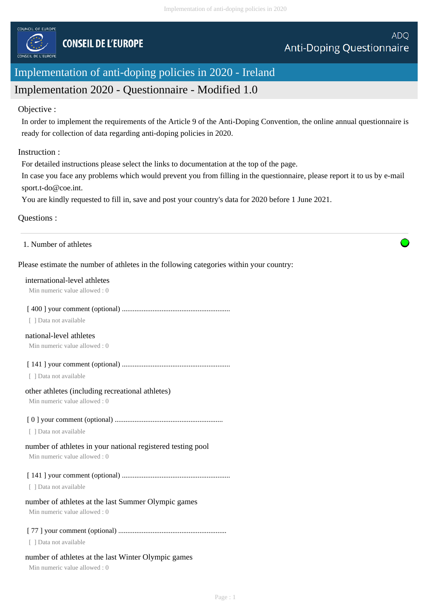

# Implementation of anti-doping policies in 2020 - Ireland

## Implementation 2020 - Questionnaire - Modified 1.0

## Objective :

In order to implement the requirements of the Article 9 of the Anti-Doping Convention, the online annual questionnaire is ready for collection of data regarding anti-doping policies in 2020.

## Instruction :

For detailed instructions please select the links to documentation at the top of the page.

In case you face any problems which would prevent you from filling in the questionnaire, please report it to us by e-mail sport.t-do@coe.int.

You are kindly requested to fill in, save and post your country's data for 2020 before 1 June 2021.

## Questions :

1. Number of athletes

## Please estimate the number of athletes in the following categories within your country:

#### international-level athletes

Min numeric value allowed : 0

#### [ 400 ] your comment (optional) ............................................................

[ ] Data not available

#### national-level athletes

Min numeric value allowed : 0

[ 141 ] your comment (optional) ............................................................

[ ] Data not available

#### other athletes (including recreational athletes)

Min numeric value allowed : 0

## [ 0 ] your comment (optional) ............................................................

[ ] Data not available

## number of athletes in your national registered testing pool

Min numeric value allowed : 0

[ 141 ] your comment (optional) ............................................................

[ ] Data not available

## number of athletes at the last Summer Olympic games

Min numeric value allowed : 0

## [ 77 ] your comment (optional) ............................................................

[ ] Data not available

## number of athletes at the last Winter Olympic games

Min numeric value allowed : 0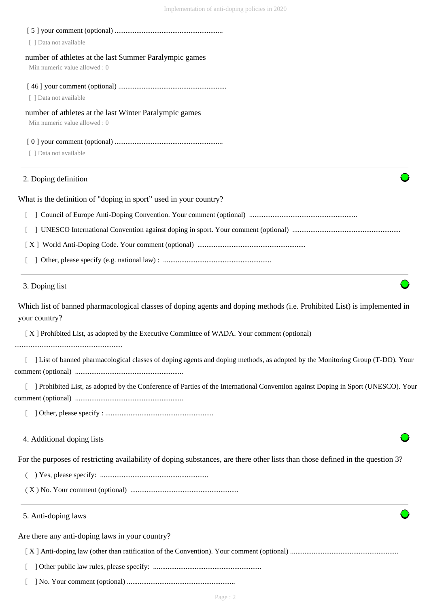| [ ] Data not available                                                                                                                     |
|--------------------------------------------------------------------------------------------------------------------------------------------|
| number of athletes at the last Summer Paralympic games                                                                                     |
| Min numeric value allowed: 0                                                                                                               |
|                                                                                                                                            |
| [ ] Data not available                                                                                                                     |
| number of athletes at the last Winter Paralympic games<br>Min numeric value allowed: 0                                                     |
|                                                                                                                                            |
| [ ] Data not available                                                                                                                     |
| 2. Doping definition                                                                                                                       |
| What is the definition of "doping in sport" used in your country?                                                                          |
|                                                                                                                                            |
|                                                                                                                                            |
|                                                                                                                                            |
|                                                                                                                                            |
| 3. Doping list                                                                                                                             |
| Which list of banned pharmacological classes of doping agents and doping methods (i.e. Prohibited List) is implemented in<br>your country? |
| [X] Prohibited List, as adopted by the Executive Committee of WADA. Your comment (optional)                                                |
| [ ] List of banned pharmacological classes of doping agents and doping methods, as adopted by the Monitoring Group (T-DO). Your            |
| ] Prohibited List, as adopted by the Conference of Parties of the International Convention against Doping in Sport (UNESCO). Your          |
|                                                                                                                                            |
| 4. Additional doping lists                                                                                                                 |
| For the purposes of restricting availability of doping substances, are there other lists than those defined in the question 3?             |
|                                                                                                                                            |
|                                                                                                                                            |
| 5. Anti-doping laws                                                                                                                        |
| Are there any anti-doping laws in your country?                                                                                            |
|                                                                                                                                            |
|                                                                                                                                            |
|                                                                                                                                            |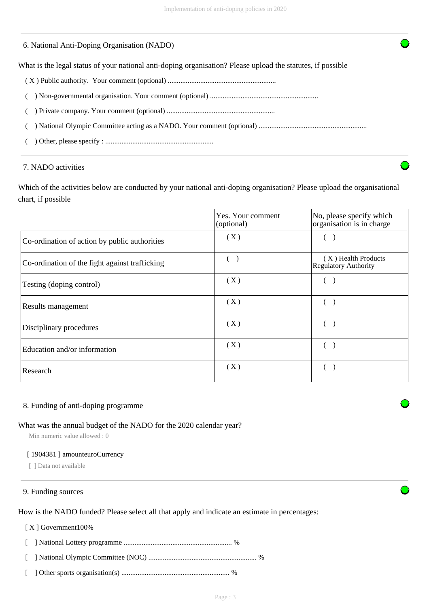## 6. National Anti-Doping Organisation (NADO)

What is the legal status of your national anti-doping organisation? Please upload the statutes, if possible

- ( X ) Public authority. Your comment (optional) ............................................................
- ( ) Non-governmental organisation. Your comment (optional) ............................................................
- ( ) Private company. Your comment (optional) ............................................................

( ) National Olympic Committee acting as a NADO. Your comment (optional) ............................................................

( ) Other, please specify : ............................................................

#### 7. NADO activities

Which of the activities below are conducted by your national anti-doping organisation? Please upload the organisational chart, if possible

|                                                | Yes. Your comment<br>(optional) | No, please specify which<br>organisation is in charge |
|------------------------------------------------|---------------------------------|-------------------------------------------------------|
| Co-ordination of action by public authorities  | (X)                             |                                                       |
| Co-ordination of the fight against trafficking | (                               | (X) Health Products<br><b>Regulatory Authority</b>    |
| Testing (doping control)                       | (X)                             |                                                       |
| Results management                             | (X)                             |                                                       |
| Disciplinary procedures                        | (X)                             |                                                       |
| Education and/or information                   | (X)                             |                                                       |
| Research                                       | (X)                             |                                                       |

#### 8. Funding of anti-doping programme

#### What was the annual budget of the NADO for the 2020 calendar year?

Min numeric value allowed : 0

#### [ 1904381 ] amounteuroCurrency

[ ] Data not available

## 9. Funding sources

How is the NADO funded? Please select all that apply and indicate an estimate in percentages:

#### [ X ] Government100%

[ ] National Lottery programme ............................................................ %

- [ ] National Olympic Committee (NOC) ............................................................ %
- [ ] Other sports organisation(s) ............................................................ %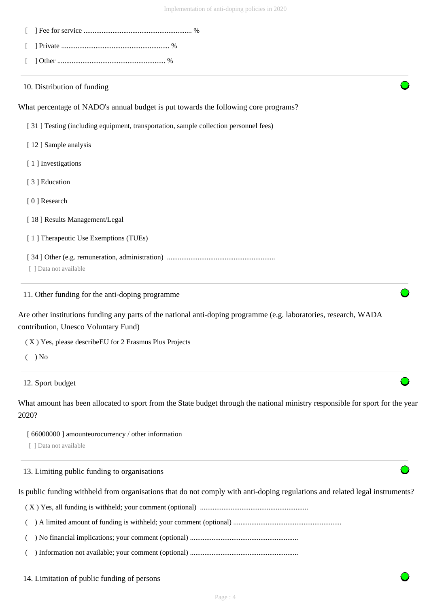| 10. Distribution of funding                                                                                                                               |  |
|-----------------------------------------------------------------------------------------------------------------------------------------------------------|--|
| What percentage of NADO's annual budget is put towards the following core programs?                                                                       |  |
| [31] Testing (including equipment, transportation, sample collection personnel fees)                                                                      |  |
| [12] Sample analysis                                                                                                                                      |  |
| [1] Investigations                                                                                                                                        |  |
| [3] Education                                                                                                                                             |  |
| [0] Research                                                                                                                                              |  |
| [18] Results Management/Legal                                                                                                                             |  |
| [1] Therapeutic Use Exemptions (TUEs)                                                                                                                     |  |
|                                                                                                                                                           |  |
| [ ] Data not available                                                                                                                                    |  |
| 11. Other funding for the anti-doping programme                                                                                                           |  |
| Are other institutions funding any parts of the national anti-doping programme (e.g. laboratories, research, WADA<br>contribution, Unesco Voluntary Fund) |  |
| (X) Yes, please describe EU for 2 Erasmus Plus Projects                                                                                                   |  |
| $( )$ No                                                                                                                                                  |  |

12. Sport budget

What amount has been allocated to sport from the State budget through the national ministry responsible for sport for the year 2020?

[ 66000000 ] amounteurocurrency / other information

[ ] Data not available

13. Limiting public funding to organisations

Is public funding withheld from organisations that do not comply with anti-doping regulations and related legal instruments?

( X ) Yes, all funding is withheld; your comment (optional) ............................................................

( ) A limited amount of funding is withheld; your comment (optional) ............................................................

( ) No financial implications; your comment (optional) ............................................................

( ) Information not available; your comment (optional) ............................................................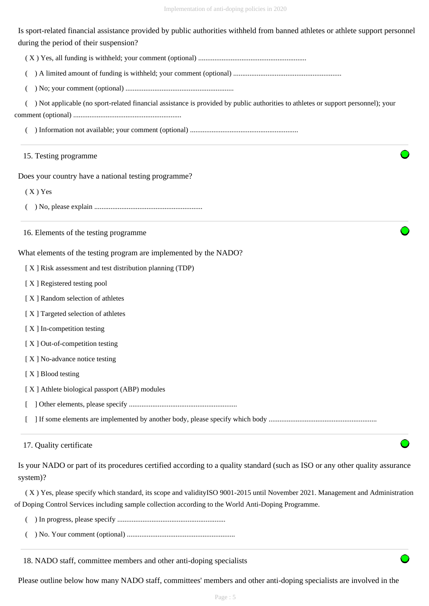Is sport-related financial assistance provided by public authorities withheld from banned athletes or athlete support personnel during the period of their suspension?

( X ) Yes, all funding is withheld; your comment (optional) ............................................................

( ) A limited amount of funding is withheld; your comment (optional) ............................................................

( ) No; your comment (optional) ............................................................

( ) Not applicable (no sport-related financial assistance is provided by public authorities to athletes or support personnel); your

comment (optional) ............................................................

( ) Information not available; your comment (optional) ............................................................

#### 15. Testing programme

Does your country have a national testing programme?

( X ) Yes

( ) No, please explain ............................................................

16. Elements of the testing programme

What elements of the testing program are implemented by the NADO?

[ X ] Risk assessment and test distribution planning (TDP)

[ X ] Registered testing pool

- [ X ] Random selection of athletes
- [ X ] Targeted selection of athletes
- [ X ] In-competition testing
- [X] Out-of-competition testing
- [X] No-advance notice testing

[X ] Blood testing

[ X ] Athlete biological passport (ABP) modules

[ ] Other elements, please specify ............................................................

[ ] If some elements are implemented by another body, please specify which body ............................................................

## 17. Quality certificate

Is your NADO or part of its procedures certified according to a quality standard (such as ISO or any other quality assurance system)?

 ( X ) Yes, please specify which standard, its scope and validityISO 9001-2015 until November 2021. Management and Administration of Doping Control Services including sample collection according to the World Anti-Doping Programme.

( ) In progress, please specify ............................................................

( ) No. Your comment (optional) ............................................................

## 18. NADO staff, committee members and other anti-doping specialists

Please outline below how many NADO staff, committees' members and other anti-doping specialists are involved in the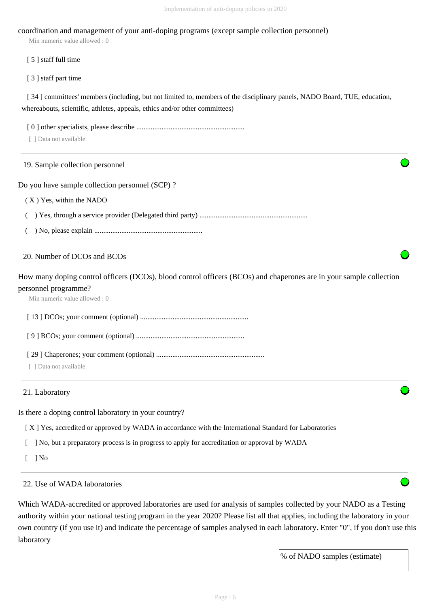## coordination and management of your anti-doping programs (except sample collection personnel)

Min numeric value allowed : 0

[ 5 ] staff full time

[ 3 ] staff part time

[ 34 ] committees' members (including, but not limited to, members of the disciplinary panels, NADO Board, TUE, education, whereabouts, scientific, athletes, appeals, ethics and/or other committees)

[ 0 ] other specialists, please describe ............................................................

[ ] Data not available

#### 19. Sample collection personnel

Do you have sample collection personnel (SCP) ?

( X ) Yes, within the NADO

( ) Yes, through a service provider (Delegated third party) ............................................................

( ) No, please explain ............................................................

#### 20. Number of DCOs and BCOs

How many doping control officers (DCOs), blood control officers (BCOs) and chaperones are in your sample collection personnel programme?

Min numeric value allowed : 0

[ 13 ] DCOs; your comment (optional) ............................................................

[ 9 ] BCOs; your comment (optional) ............................................................

[ 29 ] Chaperones; your comment (optional) ............................................................

[ ] Data not available

#### 21. Laboratory

Is there a doping control laboratory in your country?

[ X ] Yes, accredited or approved by WADA in accordance with the International Standard for Laboratories

[ ] No, but a preparatory process is in progress to apply for accreditation or approval by WADA

[ ] No

22. Use of WADA laboratories

Which WADA-accredited or approved laboratories are used for analysis of samples collected by your NADO as a Testing authority within your national testing program in the year 2020? Please list all that applies, including the laboratory in your own country (if you use it) and indicate the percentage of samples analysed in each laboratory. Enter "0", if you don't use this laboratory

% of NADO samples (estimate)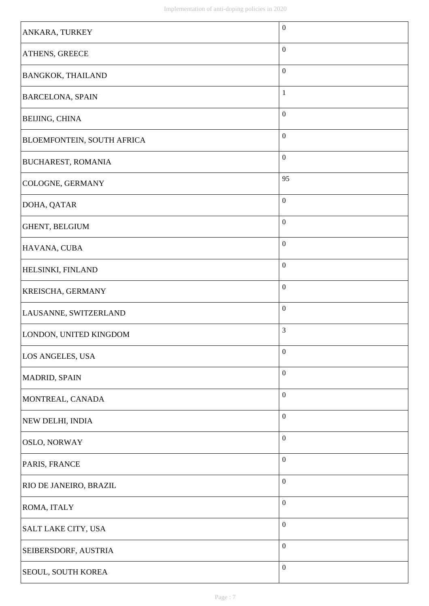| ANKARA, TURKEY             | $\boldsymbol{0}$ |
|----------------------------|------------------|
| ATHENS, GREECE             | $\boldsymbol{0}$ |
| BANGKOK, THAILAND          | $\boldsymbol{0}$ |
| <b>BARCELONA, SPAIN</b>    | $\mathbf{1}$     |
| BEIJING, CHINA             | $\boldsymbol{0}$ |
| BLOEMFONTEIN, SOUTH AFRICA | $\boldsymbol{0}$ |
| <b>BUCHAREST, ROMANIA</b>  | $\boldsymbol{0}$ |
| COLOGNE, GERMANY           | 95               |
| DOHA, QATAR                | $\boldsymbol{0}$ |
| GHENT, BELGIUM             | $\boldsymbol{0}$ |
| HAVANA, CUBA               | $\boldsymbol{0}$ |
| HELSINKI, FINLAND          | $\boldsymbol{0}$ |
| KREISCHA, GERMANY          | $\boldsymbol{0}$ |
| LAUSANNE, SWITZERLAND      | $\boldsymbol{0}$ |
| LONDON, UNITED KINGDOM     | 3                |
| LOS ANGELES, USA           | $\boldsymbol{0}$ |
| MADRID, SPAIN              | $\boldsymbol{0}$ |
| MONTREAL, CANADA           | $\boldsymbol{0}$ |
| NEW DELHI, INDIA           | $\boldsymbol{0}$ |
| OSLO, NORWAY               | $\boldsymbol{0}$ |
| PARIS, FRANCE              | $\boldsymbol{0}$ |
| RIO DE JANEIRO, BRAZIL     | $\boldsymbol{0}$ |
| ROMA, ITALY                | $\boldsymbol{0}$ |
| SALT LAKE CITY, USA        | $\boldsymbol{0}$ |
| SEIBERSDORF, AUSTRIA       | $\boldsymbol{0}$ |
| SEOUL, SOUTH KOREA         | $\boldsymbol{0}$ |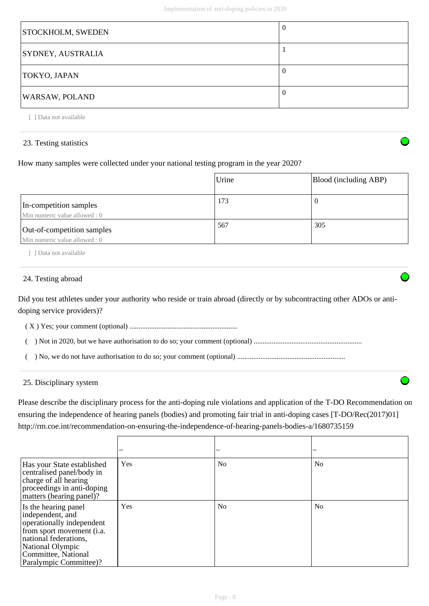| STOCKHOLM, SWEDEN        |  |
|--------------------------|--|
| <b>SYDNEY, AUSTRALIA</b> |  |
| <b>TOKYO, JAPAN</b>      |  |
| <b>WARSAW, POLAND</b>    |  |

[ ] Data not available

## 23. Testing statistics

How many samples were collected under your national testing program in the year 2020?

|                                                            | Urine | Blood (including ABP) |
|------------------------------------------------------------|-------|-----------------------|
| In-competition samples<br>Min numeric value allowed: 0     | 173   | U                     |
| Out-of-competition samples<br>Min numeric value allowed: 0 | 567   | 305                   |

[ ] Data not available

## 24. Testing abroad

Did you test athletes under your authority who reside or train abroad (directly or by subcontracting other ADOs or antidoping service providers)?

( X ) Yes; your comment (optional) ............................................................

( ) Not in 2020, but we have authorisation to do so; your comment (optional) ............................................................

( ) No, we do not have authorisation to do so; your comment (optional) ............................................................

## 25. Disciplinary system

Please describe the disciplinary process for the anti-doping rule violations and application of the T-DO Recommendation on ensuring the independence of hearing panels (bodies) and promoting fair trial in anti-doping cases [T-DO/Rec(2017)01] http://rm.coe.int/recommendation-on-ensuring-the-independence-of-hearing-panels-bodies-a/1680735159

| Has your State established<br>centralised panel/body in<br>charge of all hearing<br>proceedings in anti-doping<br>matters (hearing panel)?                                                       | Yes | N <sub>o</sub> | N <sub>0</sub> |
|--------------------------------------------------------------------------------------------------------------------------------------------------------------------------------------------------|-----|----------------|----------------|
| Is the hearing panel<br>independent, and<br>operationally independent<br>from sport movement (i.a.<br>national federations,<br>National Olympic<br>Committee, National<br>Paralympic Committee)? | Yes | N <sub>o</sub> | N <sub>o</sub> |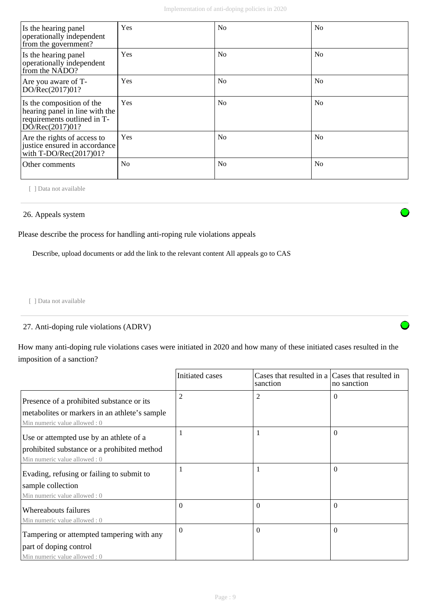| Is the hearing panel<br>operationally independent<br>from the government?                                     | Yes            | N <sub>0</sub> | N <sub>0</sub> |
|---------------------------------------------------------------------------------------------------------------|----------------|----------------|----------------|
| Is the hearing panel<br>operationally independent<br>from the NADO?                                           | Yes            | N <sub>0</sub> | N <sub>0</sub> |
| Are you aware of T-<br>DO/Rec(2017)01?                                                                        | Yes            | N <sub>0</sub> | N <sub>0</sub> |
| Is the composition of the<br>hearing panel in line with the<br>requirements outlined in T-<br>DO/Rec(2017)01? | Yes            | N <sub>0</sub> | N <sub>0</sub> |
| Are the rights of access to<br>justice ensured in accordance<br>with $T\text{-DO/Rec}(2017)01?$               | Yes            | N <sub>0</sub> | N <sub>0</sub> |
| Other comments                                                                                                | N <sub>0</sub> | N <sub>0</sub> | No             |

[ ] Data not available

## 26. Appeals system

Please describe the process for handling anti-roping rule violations appeals

Describe, upload documents or add the link to the relevant content All appeals go to CAS

[ ] Data not available

## 27. Anti-doping rule violations (ADRV)

How many anti-doping rule violations cases were initiated in 2020 and how many of these initiated cases resulted in the imposition of a sanction?

|                                                                                | Initiated cases | Cases that resulted in a Cases that resulted in<br>sanction | no sanction |
|--------------------------------------------------------------------------------|-----------------|-------------------------------------------------------------|-------------|
| Presence of a prohibited substance or its                                      | $\overline{2}$  | $\overline{c}$                                              | $\Omega$    |
| metabolities or markers in an athlete's sample<br>Min numeric value allowed: 0 |                 |                                                             |             |
| Use or attempted use by an athlete of a                                        |                 | 1                                                           | $\Omega$    |
| prohibited substance or a prohibited method<br>Min numeric value allowed: 0    |                 |                                                             |             |
| Evading, refusing or failing to submit to                                      |                 | 1                                                           | $\Omega$    |
| sample collection<br>Min numeric value allowed : 0                             |                 |                                                             |             |
| Whereabouts failures<br>Min numeric value allowed: 0                           | $\Omega$        | $\Omega$                                                    | $\Omega$    |
| Tampering or attempted tampering with any                                      | $\Omega$        | $\Omega$                                                    | $\theta$    |
| part of doping control<br>Min numeric value allowed: 0                         |                 |                                                             |             |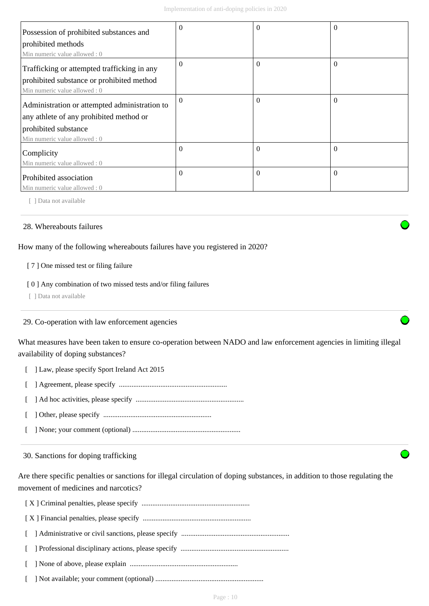| Possession of prohibited substances and       | $\Omega$ | 0        | $\theta$ |
|-----------------------------------------------|----------|----------|----------|
| prohibited methods                            |          |          |          |
| Min numeric value allowed: 0                  |          |          |          |
| Trafficking or attempted trafficking in any   | $\theta$ | $\theta$ | $\Omega$ |
| prohibited substance or prohibited method     |          |          |          |
| Min numeric value allowed: 0                  |          |          |          |
| Administration or attempted administration to | $\theta$ | $\Omega$ | $\Omega$ |
| any athlete of any prohibited method or       |          |          |          |
| prohibited substance                          |          |          |          |
| Min numeric value allowed: 0                  |          |          |          |
| Complicity                                    | $\Omega$ | $\Omega$ | $\Omega$ |
| Min numeric value allowed : 0                 |          |          |          |
| Prohibited association                        | $\theta$ | $\Omega$ | $\Omega$ |
| Min numeric value allowed: 0                  |          |          |          |

[ ] Data not available

#### 28. Whereabouts failures

How many of the following whereabouts failures have you registered in 2020?

#### [ 7 ] One missed test or filing failure

#### [ 0 ] Any combination of two missed tests and/or filing failures

[ ] Data not available

#### 29. Co-operation with law enforcement agencies

What measures have been taken to ensure co-operation between NADO and law enforcement agencies in limiting illegal availability of doping substances?

- [ ] Law, please specify Sport Ireland Act 2015
- [ ] Agreement, please specify ............................................................
- [ ] Ad hoc activities, please specify ............................................................
- [ ] Other, please specify ............................................................
- [ ] None; your comment (optional) ............................................................

30. Sanctions for doping trafficking

Are there specific penalties or sanctions for illegal circulation of doping substances, in addition to those regulating the movement of medicines and narcotics?

 [ X ] Criminal penalties, please specify ............................................................ [ X ] Financial penalties, please specify ............................................................

[ ] Administrative or civil sanctions, please specify ............................................................

[ ] Professional disciplinary actions, please specify ............................................................

[ ] None of above, please explain ............................................................

[ ] Not available; your comment (optional) ............................................................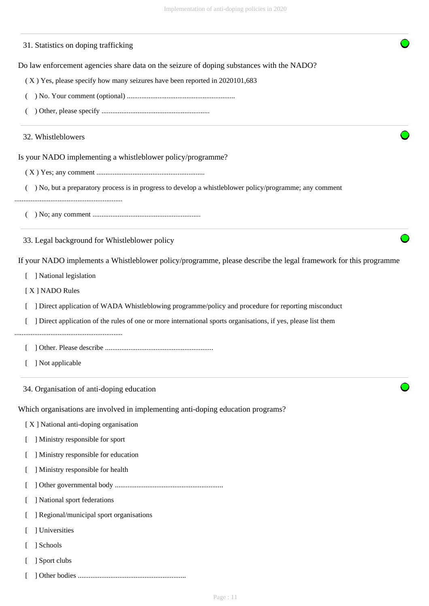#### 31. Statistics on doping trafficking

Do law enforcement agencies share data on the seizure of doping substances with the NADO?

- ( X ) Yes, please specify how many seizures have been reported in 2020101,683
- ( ) No. Your comment (optional) ............................................................
- ( ) Other, please specify ............................................................

#### 32. Whistleblowers

Is your NADO implementing a whistleblower policy/programme?

- ( X ) Yes; any comment ............................................................
- ( ) No, but a preparatory process is in progress to develop a whistleblower policy/programme; any comment

............................................................

( ) No; any comment ............................................................

33. Legal background for Whistleblower policy

If your NADO implements a Whistleblower policy/programme, please describe the legal framework for this programme

[ ] National legislation

[ X ] NADO Rules

[ ] Direct application of WADA Whistleblowing programme/policy and procedure for reporting misconduct

[ ] Direct application of the rules of one or more international sports organisations, if yes, please list them

............................................................

[ ] Other. Please describe ............................................................

[ ] Not applicable

34. Organisation of anti-doping education

Which organisations are involved in implementing anti-doping education programs?

- [ X ] National anti-doping organisation
- [ ] Ministry responsible for sport
- [ ] Ministry responsible for education
- [ ] Ministry responsible for health
- [ ] Other governmental body ............................................................
- [ ] National sport federations

[ ] Regional/municipal sport organisations

- [ ] Universities
- [ ] Schools
- [ ] Sport clubs
- [ ] Other bodies ............................................................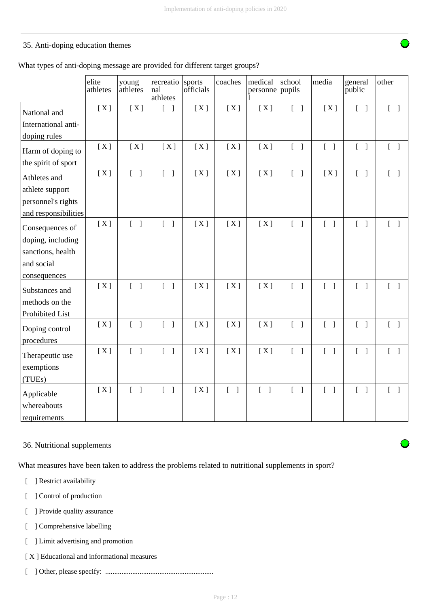## 35. Anti-doping education themes

|  |  |  | What types of anti-doping message are provided for different target groups? |
|--|--|--|-----------------------------------------------------------------------------|
|--|--|--|-----------------------------------------------------------------------------|

|                              | elite<br>athletes | young<br>athletes                 | recreatio<br>nal<br>athletes               | sports<br>officials | coaches                           | medical<br>personne pupils        | school                            | media                             | general<br>public                 | other                             |
|------------------------------|-------------------|-----------------------------------|--------------------------------------------|---------------------|-----------------------------------|-----------------------------------|-----------------------------------|-----------------------------------|-----------------------------------|-----------------------------------|
| National and                 | [X]               | [X]                               | $\lceil \cdot \rceil$                      | [X]                 | [X]                               | [X]                               | $\begin{bmatrix} 1 \end{bmatrix}$ | [X]                               | $\begin{bmatrix} 1 \end{bmatrix}$ | $\begin{bmatrix} 1 \end{bmatrix}$ |
| International anti-          |                   |                                   |                                            |                     |                                   |                                   |                                   |                                   |                                   |                                   |
| doping rules                 |                   |                                   |                                            |                     |                                   |                                   |                                   |                                   |                                   |                                   |
| Harm of doping to            | [X]               | [X]                               | [X]                                        | [X]                 | [X]                               | [X]                               | $\begin{bmatrix} 1 \end{bmatrix}$ | $\begin{bmatrix} 1 \end{bmatrix}$ | $\begin{bmatrix} 1 \end{bmatrix}$ | $[ \ ]$                           |
| the spirit of sport          |                   |                                   |                                            |                     |                                   |                                   |                                   |                                   |                                   |                                   |
| Athletes and                 | [X]               | $[$ $]$                           | $\begin{bmatrix} 1 \end{bmatrix}$          | [X]                 | [X]                               | [X]                               | $\begin{bmatrix} 1 \end{bmatrix}$ | [X]                               | $\begin{bmatrix} 1 \end{bmatrix}$ | $[\ ]$                            |
| athlete support              |                   |                                   |                                            |                     |                                   |                                   |                                   |                                   |                                   |                                   |
| personnel's rights           |                   |                                   |                                            |                     |                                   |                                   |                                   |                                   |                                   |                                   |
| and responsibilities         |                   |                                   |                                            |                     |                                   |                                   |                                   |                                   |                                   |                                   |
| Consequences of              | [X]               | $\begin{bmatrix} 1 \end{bmatrix}$ | $\begin{bmatrix} 1 \end{bmatrix}$          | [X]                 | [X]                               | [X]                               | $\begin{bmatrix} 1 \end{bmatrix}$ | $\begin{bmatrix} 1 \end{bmatrix}$ |                                   | $\begin{bmatrix} 1 \end{bmatrix}$ |
| doping, including            |                   |                                   |                                            |                     |                                   |                                   |                                   |                                   |                                   |                                   |
| sanctions, health            |                   |                                   |                                            |                     |                                   |                                   |                                   |                                   |                                   |                                   |
| and social                   |                   |                                   |                                            |                     |                                   |                                   |                                   |                                   |                                   |                                   |
| consequences                 |                   |                                   |                                            |                     |                                   |                                   |                                   |                                   |                                   |                                   |
| Substances and               | [X]               | $[$ $]$                           | $[ \ ]$                                    | [X]                 | [X]                               | [X]                               | $[ \ ]$                           | $\begin{bmatrix} 1 \end{bmatrix}$ | $\begin{bmatrix} 1 \end{bmatrix}$ | $\begin{bmatrix} 1 \end{bmatrix}$ |
| methods on the               |                   |                                   |                                            |                     |                                   |                                   |                                   |                                   |                                   |                                   |
| Prohibited List              |                   |                                   |                                            |                     |                                   |                                   |                                   |                                   |                                   |                                   |
| Doping control<br>procedures | [X]               | $\begin{bmatrix} 1 \end{bmatrix}$ | $\begin{bmatrix} 1 \end{bmatrix}$          | [X]                 | [X]                               | [X]                               | $\begin{bmatrix} 1 \end{bmatrix}$ | $\begin{bmatrix} 1 \end{bmatrix}$ | $\begin{bmatrix} 1 \end{bmatrix}$ | $\begin{bmatrix} 1 \end{bmatrix}$ |
| Therapeutic use              | [X]               | $\begin{bmatrix} 1 \end{bmatrix}$ | $\begin{bmatrix} 1 \end{bmatrix}$          | [X]                 | [X]                               | [X]                               | $\begin{bmatrix} 1 \end{bmatrix}$ | $\begin{bmatrix} 1 \end{bmatrix}$ | $\begin{bmatrix} 1 \end{bmatrix}$ | $\begin{bmatrix} 1 \end{bmatrix}$ |
| exemptions                   |                   |                                   |                                            |                     |                                   |                                   |                                   |                                   |                                   |                                   |
| (TUEs)                       |                   |                                   |                                            |                     |                                   |                                   |                                   |                                   |                                   |                                   |
| Applicable<br>whereabouts    | [X]               | $\begin{bmatrix} 1 \end{bmatrix}$ | $\overline{L}$<br>$\overline{\phantom{a}}$ | [X]                 | $\begin{bmatrix} 1 \end{bmatrix}$ | $\begin{bmatrix} 1 \end{bmatrix}$ | $\begin{bmatrix} 1 \end{bmatrix}$ | $\begin{bmatrix} 1 \end{bmatrix}$ | $\begin{bmatrix} 1 \end{bmatrix}$ | $\begin{bmatrix} 1 \end{bmatrix}$ |
| requirements                 |                   |                                   |                                            |                     |                                   |                                   |                                   |                                   |                                   |                                   |

#### 36. Nutritional supplements

What measures have been taken to address the problems related to nutritional supplements in sport?

- [ ] Restrict availability
- [ ] Control of production
- [ ] Provide quality assurance
- [ ] Comprehensive labelling
- [ ] Limit advertising and promotion
- [ X ] Educational and informational measures
- [ ] Other, please specify: ............................................................